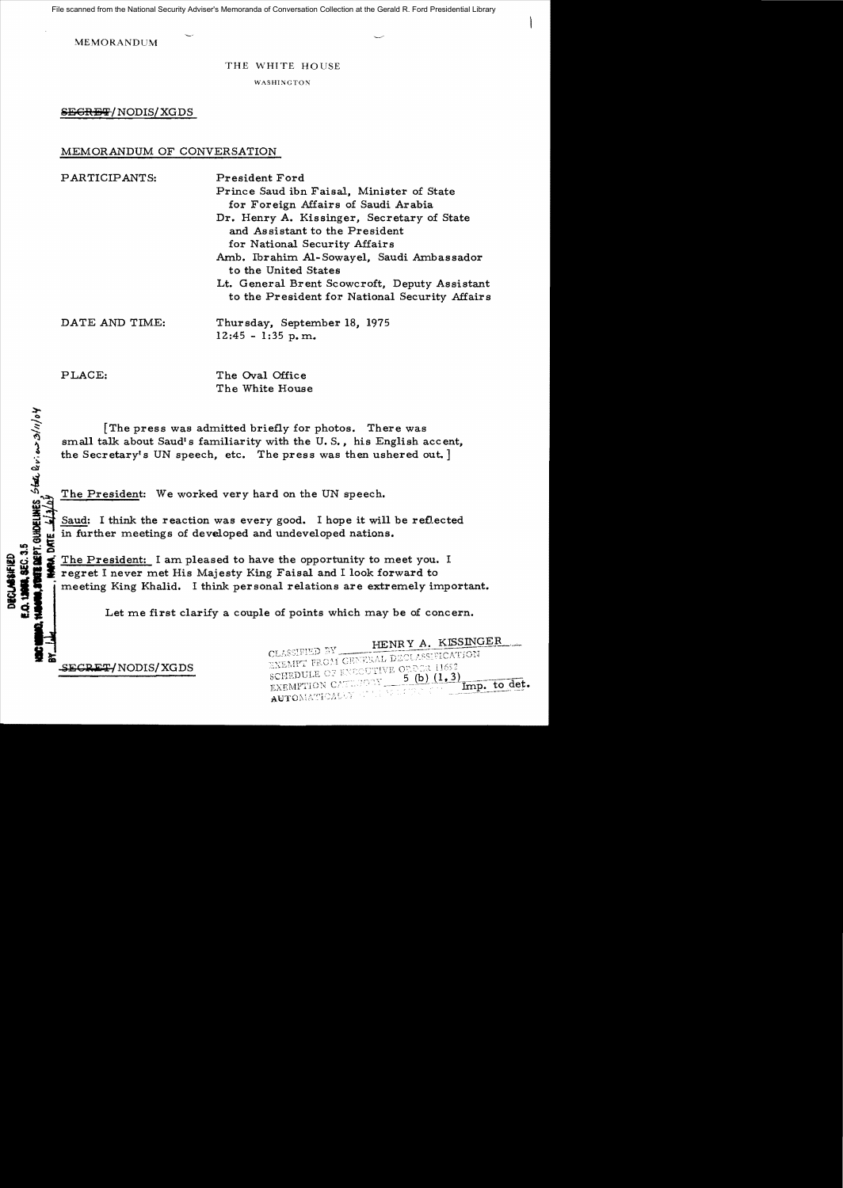File scanned from the National Security Adviser's Memoranda of Conversation Collection at the Gerald R. Ford Presidential Library

MEMORANDUM

THE WHITE HOUSE

WASHINGTON

SEGRET/NODIS/XGDS

## MEMORANDUM OF CONVERSATION

PARTICIPANTS: President Ford Prince Saud ibn Faisal. Minister of State for Foreign Affairs of Saudi Arabia Dr. Henry A. Kissinger. Secretary of State and Assistant to the President for National Security Affairs Amb. Ibrahim Al-Sowayel. Saudi Ambassador to the United States Lt. General Brent Scowcroft. Deputy Assistant to the President for National Security Affairs DATE AND TIME: Thursday. September 18, 1975 12:45 - 1:35 p. m.

clt !l

Cape 1

';'

PLACE: The Oval Office The White House

[The press was admitted briefly for photos. There was small talk about Saudi s familiarity with the U. S., his English accent, the Secretary's UN speech, etc. The press was then ushered out. ]

The President: We worked very hard on the UN speech.

Saud: I think the reaction was every good. I hope it will be reflected in further meetings of developed and undeveloped nations.

 $\ddot{\mathbf{s}}$  $\mathbf{g}$   $\mathbf{g}$ S<br>So cincle The President: I am pleased to have the opportunity to meet you. I<br>so the President: I am pleased to have the opportunity to meet you. I<br>so the regret I never met His Majesty King Faisal and I look forward to<br>s regret I never met His Majesty King Faisal and I look forward to meeting King Khalid. I think personal relations are extremely important.

Let me first clarify a couple of points which may be of concern.

CLASSIFIED BY\_

EXEMPTION CALLEGAY

AUTOMATICALLY

HENRY A. KISSINGER

5 (b)  $(1, 3)$ 

Imp. to det.

EXEMPT FROM GENERAL DECLASSIFICATION EXEMPT FROM GENERAL BESSEN<br>SCHEDULE OF EXECUTIVE ORDER 11652

**II**<br>B<br>B<br>B<br>B SECRET/NODIS/XGDS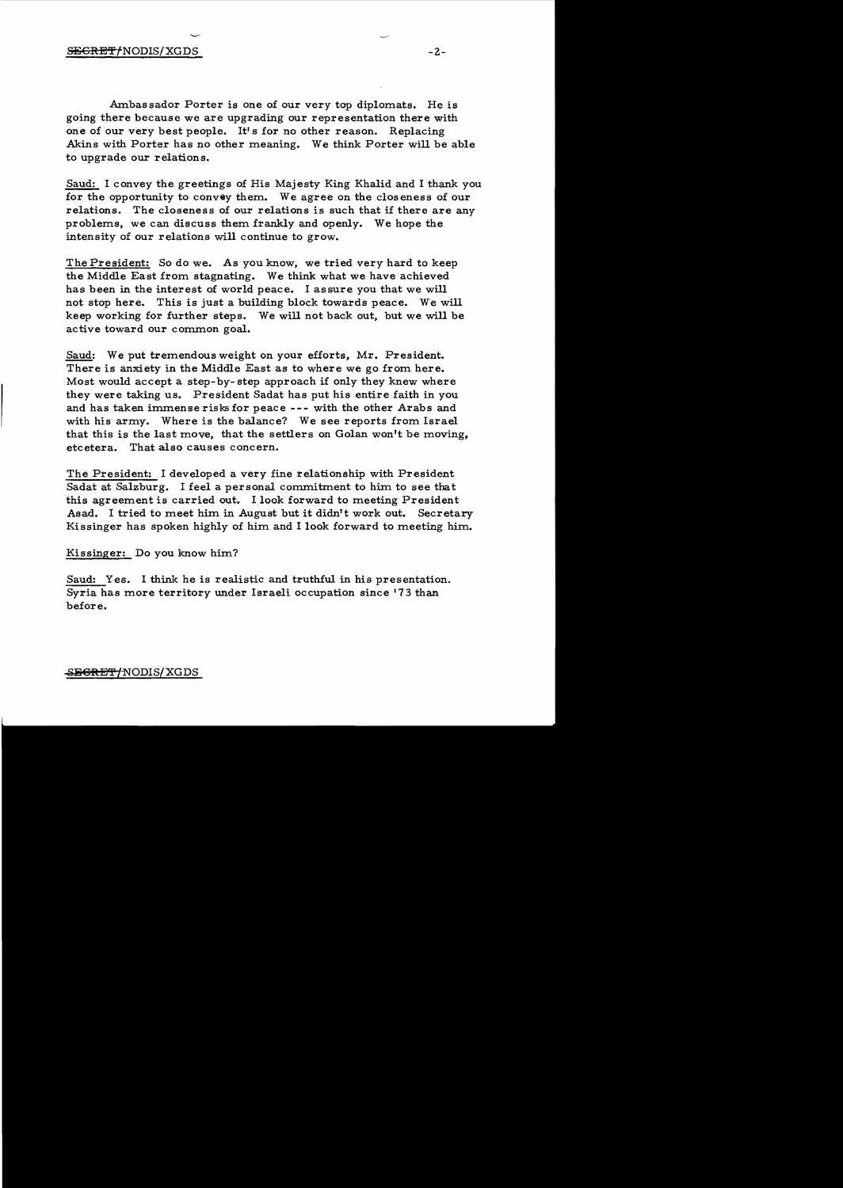Ambassador Porter is one of our very top diplomats. He is going there because we are upgrading our representation there with one of our very best people. It's for no other reason. Replacing Akins with Porter has no other meaning. We think Porter will be able to upgrade our relations.

Saud: I convey the greetings of His Majesty King Khalid and I thank you for the opportunity to convey them. We agree on the c10s eness of our relations. The closeness of our relations is such that if there are any problems, we can discuss them frankly and openly. We hope the intensity of our relations will continue to grow.

The President: So do we. As you know. we tried very hard to keep the Middle East from stagnating. We think what we have achieved has been in the interest of world peace. I assure you that we will not stop here. This is just a building block towards peace. We will keep working for further steps. We will not back out, but we will be active toward our common goal.

Saud: We put tremendous weight on your efforts, Mr. President. There is anxiety in the Middle East as to where we go from here. Most would accept a step-by- step approach if only they knew where they were taking us. President Sadat has put his entire faith in you and has taken immense risks for peace --- with the other Arabs and with his army. Where is the balance? We see reports from Israel that this is the last move, that the settlers on Golan won't be moving, etcetera. That also causes concern.

The President: I developed a very fine relationship with President Sadat at Salzburg. I feel a personal commitment to him to see that this agreement is carried out. I look forward to meeting President Asad. I tried to meet him in August but it didn't work out. Secretary Kissinger has spoken highly of him and I look forward to meeting him.

Kissinger: Do you know him?

Saud: Yes. I think he is realistic and truthful in his presentation. Syria has more territory under Israeli occupation since '73 than before.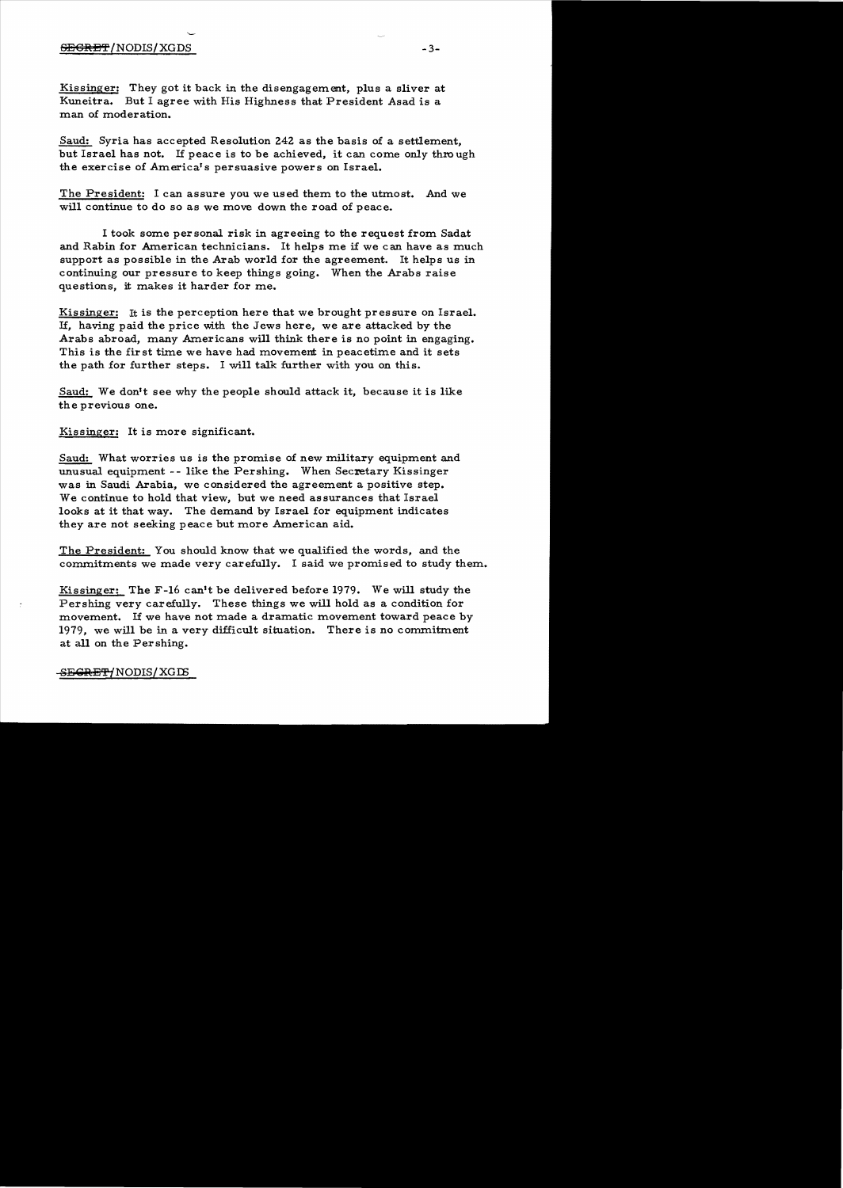Kissinger: They got it back in the disengagement, plus a sliver at Kuneitra. But I agree with His Highness that President Asad is a man of moderation.

Saud: Syria has accepted Resolution 242 as the basis of a settlement, but Israel has not. If peace is to be achieved, it can come only thro ugh the exercise of America's persuasive power s on Israel.

The President: I can assure you we used them to the utmost. And we will continue to do so as we move down the road of peace.

I took some personal risk in agreeing to the request from Sadat and Rabin for American technicians. It helps me if we can have as much support as possible in the Arab world for the agreement. It helps us in continuing our pressure to keep things going. When the Arabs raise questions, it makes it harder for me.

Kissinger: It is the perception here that we brought pressure on Israel. If, having paid the price with the Jews here, we are attacked by the Arabs abroad, many Americans will think there is no point in engaging. This is the fir st time we have had movement in peacetime and it sets the path for further steps. I will talk further with you on this.

Saud: We don't see why the people should attack it, because it is like the previous one.

Kissinger: It is more significant.

Saud: What worries us is the promise of new military equipment and unusual equipment -- like the Pershing. When Secretary Kissinger was in Saudi Arabia, we considered the agreement a positive step. We continue to hold that view, but we need as surances that Israel looks at it that way. The demand by Israel for equipment indicates they are not seeking peace but more American aid.

The President: You should know that we qualified the words, and the commitments we made very carefully. I said we promised to study them.

Kissinger: The  $F-16$  can't be delivered before 1979. We will study the Pershing very carefully. These things we will hold as a condition for movement. If we have not made a dramatic movement toward peace by 1979, we will be in a very difficult situation. There is no commitment at all on the Pershing.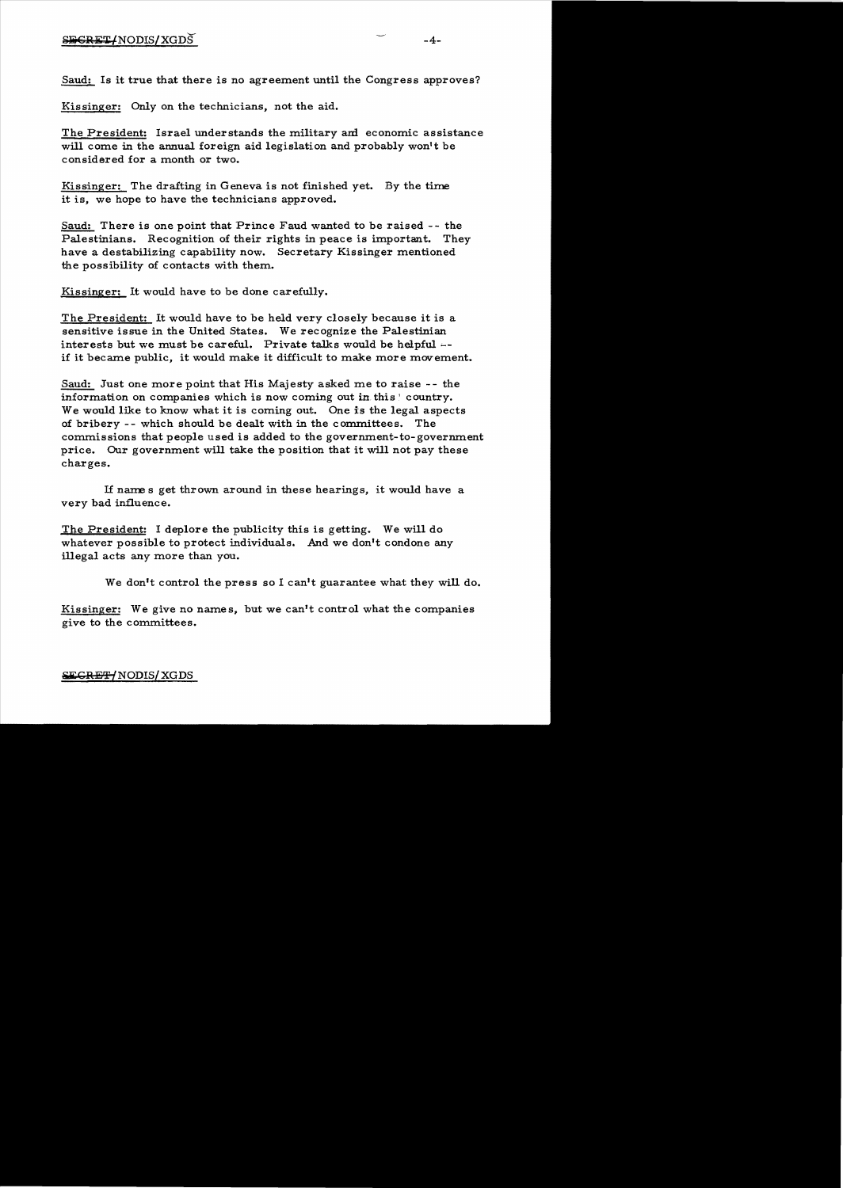Saud: Is it true that there is no agreement until the Congress approves?

Kissinger: Only on the technicians, not the aid.

The President: Israel understands the military am economic assistance will come in the annual foreign aid legislation and probably won't be considered for a month or two.

Kissinger: The drafting in Geneva is not finished yet. By the time it is, we hope to have the technicians approved.

Saud: There is one point that Prince Faud wanted to be raised - - the Palestinians. Recognition of their rights in peace is important. They have a destabilizing capability now. Secretary Kissinger mentioned the possibility of contacts with them.

Kissinger: It would have to be done carefully.

The President: It would have to be held very closely because it is a sensitive issue in the United States. We recognize the Palestinian interests but we must be careful. Private talks would be helpful  $-$ if it became public, it would make it difficult to make more movement.

Saud: Just one more point that His Majesty asked me to raise -- the information on companies which is now coming out in this ! country. We would like to know what it is coming out. One is the legal aspects of bribery - - which should be dealt with in the committees. The commissions that people used is added to the government-to-government price. Our government will take the position that it will not pay these charges.

If names get thrown around in these hearings, it would have a very bad influence.

The President: I deplore the publicity this is getting. We will do whatever possible to protect individuals. And we don't condone any illegal acts any more than you.

We don't control the press so I can't guarantee what they will do.

Kissinger: We give no names, but we can't control what the companies give to the committees.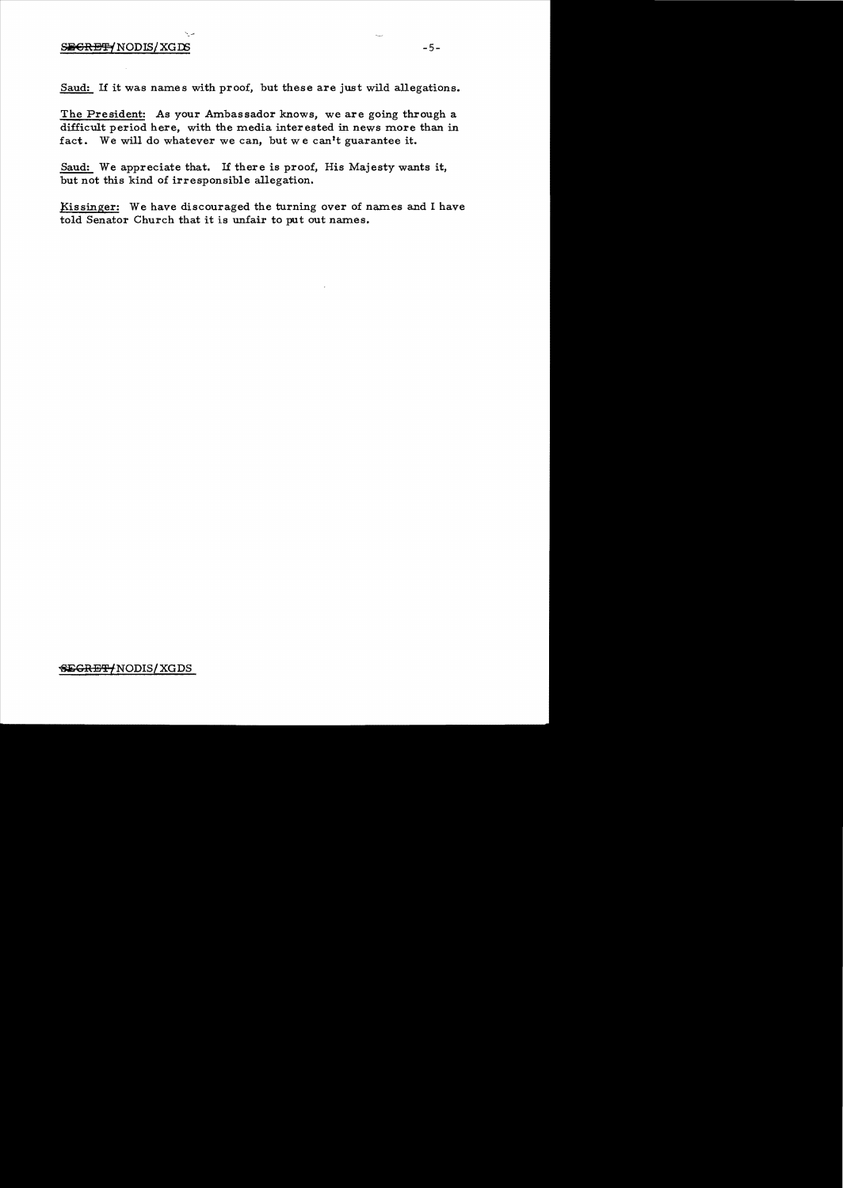## SEGRET NODIS / XGDS

Saud: If it was names with proof, but these are just wild allegations.

The President: As your Ambassador knows, we are going through a difficult period here, with the media interested in news more than in fact. We will do whatever we can, but we can't guarantee it.

Saud: We appreciate that. If there is proof, His Majesty wants it, but not this kind of irresponsible allegation.

Kissinger: We have discouraged the turning over of names and I have told Senator Church that it is unfair to put out names.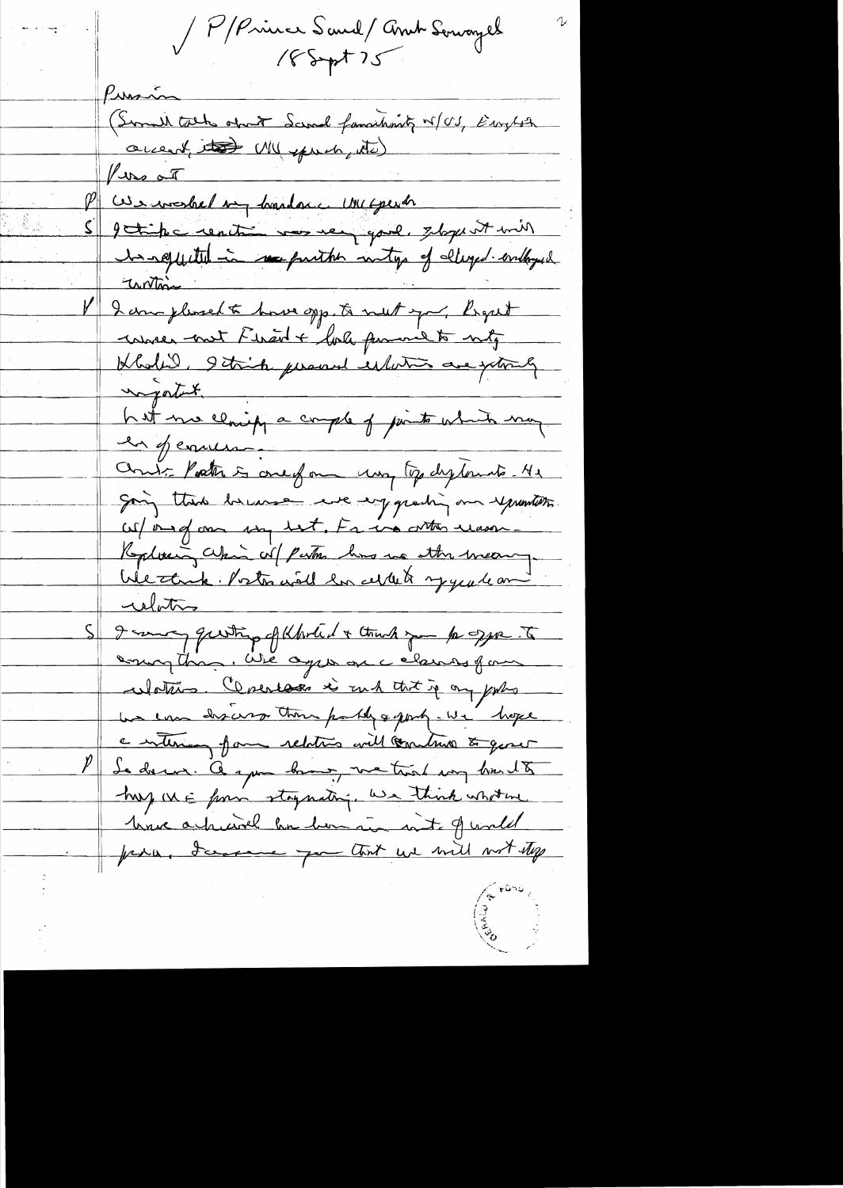PPinner Sand/Andr Servagel

Punsin (Somed tack opart Samal familiant 15/03, Eurepst accent, its MU spruch, its) vers aires and the foundation of the there is a more thanks of the theorem of the theorem of the theorem of the theorem of the theorem of the theorem of the theorem of the theorem of the theorem of the theorem of the theor funs at getipe contre vos ver quel stage et mil untin I am pleased to hove opp. to next you, light conner aut Firad + bole pumme to mity Kbalil, 9 taip prend illution are jointly hat me claippa comple of junto which may Court Porter is one of one was top dytomate He going thank however we enjoyeding our yourself W/ one of one way but, Fr in orthonor was Replicing which is partir him in the meaning We thank Postos will be dellet y yealean relative I want questing of Kholed + think you to get to Watans. Cerentages is ruch that if my portion we can discuss than partly & party. We hope a interior form relations will comments to quare Le donne. A après bonne, me trois son bourt 8 hay we form staynating, we think whotever have a hussel ha hom in suit of world fran James for that we will not stop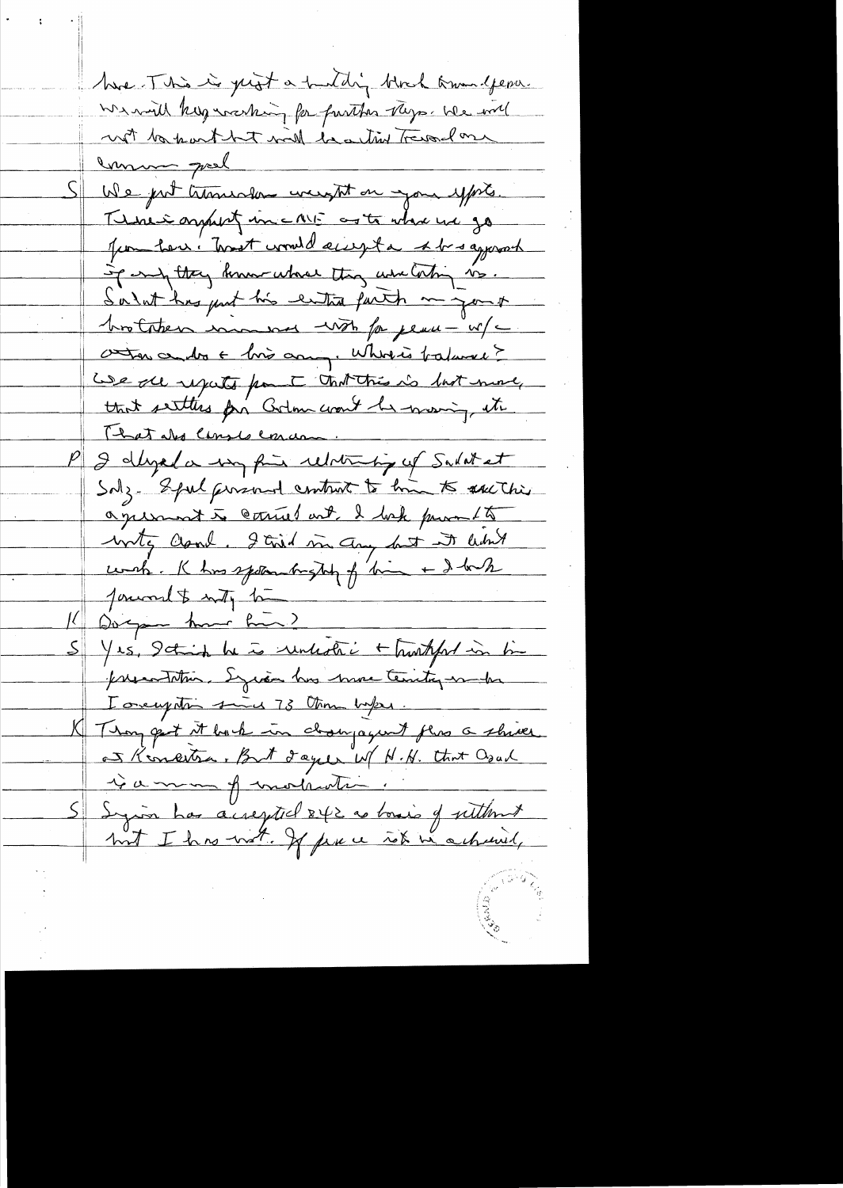have This is just a hunting block towardpene We will keep washing for further they a bee will with the part but will be a this Trevelose mmm gral We just transver weight on your ypre. There is anything the CAVI and to what we go Jum here. Twest would accept a shr saymout If endy they know where they were looking is. Sarat has just his entra farth mayork hostaten manner with for peace - w/c aten cendre + bio comp. Whereis tratamed? We all reports from I that this is last more, that settles for Golm won't be morning it That also Canado Concern. I dayed a my fine relationing of Sadat et Salz- Spul personal control to him to sacthi agreement to count out I hak prom 15 write Clamb, I tried in any but it like which K has spoken bught of bin + I back Journalt with to Dogan har him? S Yes, Schich he is unlestré + hurtynt in time presentation. Enginee has more territor make I overythin sind 73 Am bakes. Thought it book in closuragent this a shiver at Kingstra, But days if N.H. that Osal si a mon proventa S Syrin has acrepted 242 as loais of sitternt but I has wet. If prece ick in achievel,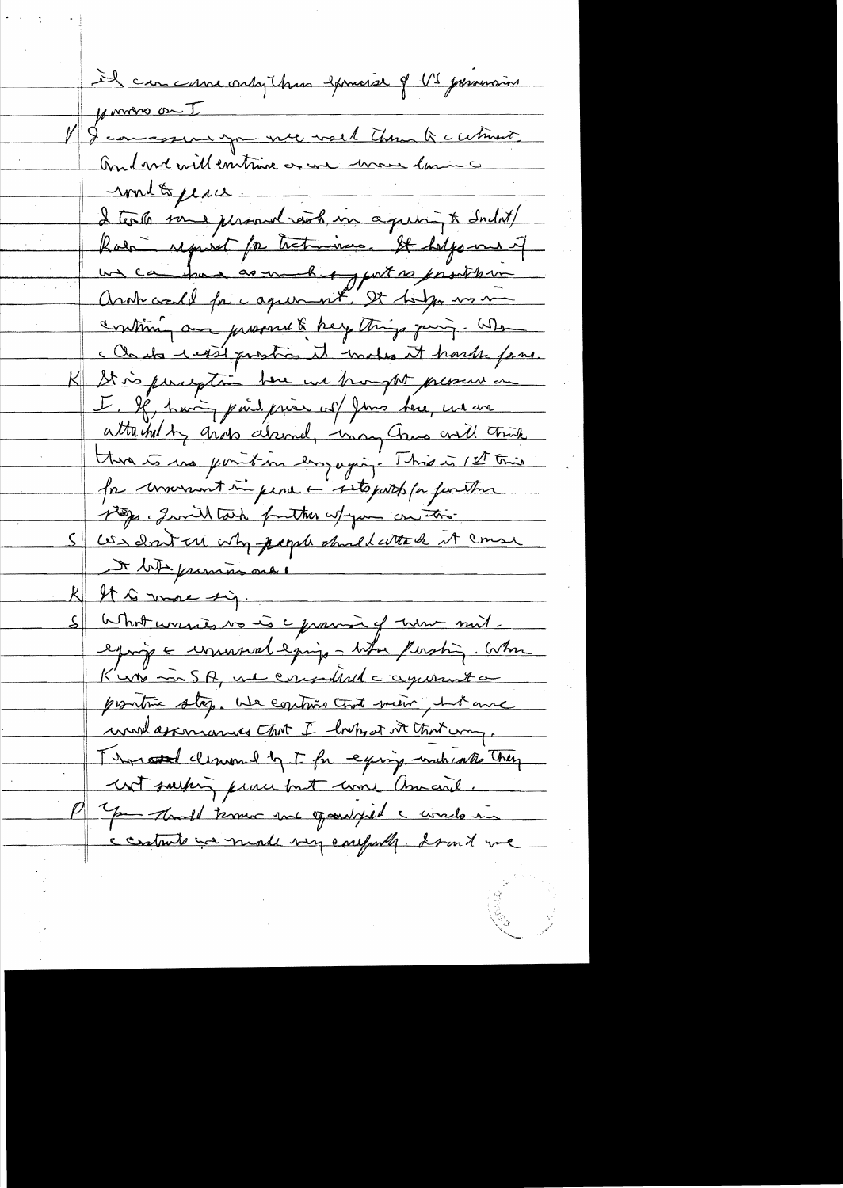Il can come only than exemise of US promosions forming on I I comaggior you we wall them a cutinent. And me will entime or une more lamine moderpeau I tests some personal reach in agreem to Sudat/ Robin reprient for tratminers. It helps me if un cambion as make yout to prosther Arot credit for agreement, It holyen wo me continu and pressure & help things quing. When c Chata raisi prostice it makes it hards forme. St is perception bere we hangth present on  $\mathsf{K}\!\!\!\perp$ I, le tain pais prier col June dere, ma ave atteined by grows decided, was Crus and this there is use point in employing. This is 1st trie for convenient in pena a sitopart par function 100 . Invillation further w/you on this Us don't a why people should with it couse the frimming and 1 It is more sig. What wassed to is a france of true mil. eproje = unusual egoigo - titu fusting. When K'un in SA, une considerat a aquerent a positive stop. We continue that mean but and werdagemands ant I hopes it that my. Thoroused cleanmed by I for equing wich contro They wit surfing prime but work amount. P Jam Month terms and openalysed a woods in contrate we made very conferred. I said we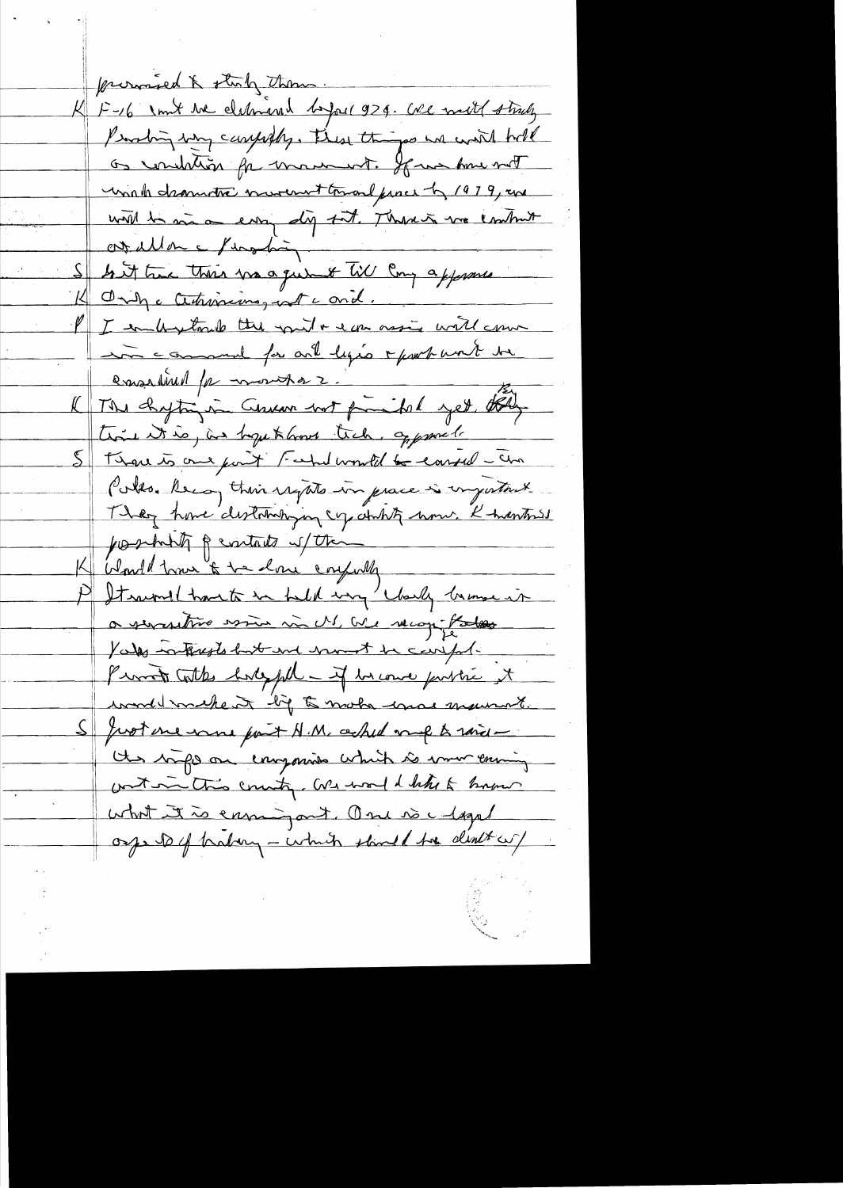promied & stuly them. K F-16 1 mit the cleanional before 929. We will strutz Probing by carpofly. These things we will hold as conclution for macaust. If we have not unat dramatic nurement toward proces by 1979, are with he was a corry dig but. There is no contruit ourallon e feradas In it true their was que of till Cong approved K Only a Certraining with and. I embretante the put + ear most will com in comment for and legio + problement the emailled par montar. time it is, in hope to love tich, approve ! Strave to one port Fahrdworked to conseil - cha Poles. Reca, their regate in prace is comportant They have distribution up at the house K thanks posibility peritate of the Kliente tome & te done coupoly P Itsume hant in held my clarky banne in a serverstive wine in M. We recog Potes Vales interests but and mont be composed Promote Cottes bodyful - if he come pointré it wondermakent by to make una maurat. Just me some part A.M. ched much to said -Un bifo on enyonne which is more ening with this country. We would letter & how what it is ensuing out. One is a lagal orge to of babary - which should the death of